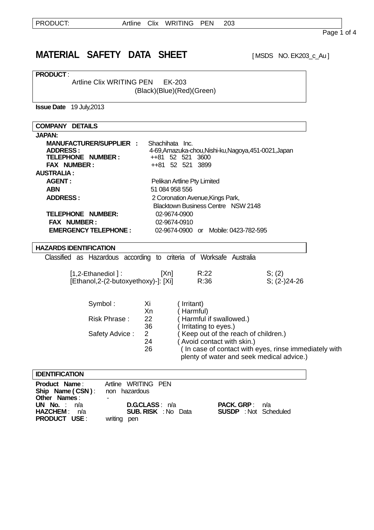# **MATERIAL SAFETY DATA SHEET** [MSDS NO. EK203\_c\_Au]

**PRODUCT** :

r

Artline Clix WRITING PEN EK-203

(Black)(Blue)(Red)(Green)

**Issue Date** 19 July,2013

| <b>COMPANY DETAILS</b>                                              |                 |                                                       |                                                       |
|---------------------------------------------------------------------|-----------------|-------------------------------------------------------|-------------------------------------------------------|
| <b>JAPAN:</b>                                                       |                 |                                                       |                                                       |
| <b>MANUFACTURER/SUPPLIER :</b>                                      | Shachihata Inc. |                                                       |                                                       |
| <b>ADDRESS:</b>                                                     |                 | 4-69, Amazuka-chou, Nishi-ku, Nagoya, 451-0021, Japan |                                                       |
| <b>TELEPHONE NUMBER:</b>                                            |                 | ++81 52 521 3600                                      |                                                       |
| <b>FAX NUMBER:</b>                                                  |                 | ++81 52 521 3899                                      |                                                       |
| <b>AUSTRALIA:</b>                                                   |                 |                                                       |                                                       |
| <b>AGENT:</b>                                                       |                 | Pelikan Artline Pty Limited                           |                                                       |
| <b>ABN</b>                                                          | 51 084 958 556  |                                                       |                                                       |
| <b>ADDRESS:</b>                                                     |                 | 2 Coronation Avenue, Kings Park,                      |                                                       |
|                                                                     |                 | <b>Blacktown Business Centre NSW 2148</b>             |                                                       |
| <b>TELEPHONE NUMBER:</b>                                            | 02-9674-0900    |                                                       |                                                       |
| <b>FAX NUMBER:</b>                                                  | 02-9674-0910    |                                                       |                                                       |
| <b>EMERGENCY TELEPHONE:</b>                                         |                 | 02-9674-0900 or Mobile: 0423-782-595                  |                                                       |
|                                                                     |                 |                                                       |                                                       |
| <b>HAZARDS IDENTIFICATION</b>                                       |                 |                                                       |                                                       |
| Classified as Hazardous according to criteria of Worksafe Australia |                 |                                                       |                                                       |
| $[1,2$ -Ethanediol $]$ :                                            | [Xn]            | R:22                                                  | S; (2)                                                |
| [Ethanol,2-(2-butoxyethoxy)-]: [Xi]                                 |                 | R:36                                                  | $S$ ; (2-)24-26                                       |
|                                                                     |                 |                                                       |                                                       |
|                                                                     |                 |                                                       |                                                       |
| Symbol:                                                             | Xi              | Irritant)                                             |                                                       |
|                                                                     | Xn              | Harmful)                                              |                                                       |
| Risk Phrase:                                                        | 22              | Harmful if swallowed.)                                |                                                       |
|                                                                     | 36              | Irritating to eyes.)                                  |                                                       |
| Safety Advice:                                                      | $\overline{2}$  | Keep out of the reach of children.)                   |                                                       |
|                                                                     | 24              | (Avoid contact with skin.)                            |                                                       |
|                                                                     | 26              |                                                       | (In case of contact with eyes, rinse immediately with |
|                                                                     |                 |                                                       | plenty of water and seek medical advice.)             |
|                                                                     |                 |                                                       |                                                       |
| <b>IDENTIFICATION</b>                                               |                 |                                                       |                                                       |
| <b>Product Name:</b><br>Artline WRITING PEN                         |                 |                                                       |                                                       |

| <b>Product Name:</b> Altime VVRITING PEN<br><b>Ship Name (CSN):</b> non hazardous |                            |                              |
|-----------------------------------------------------------------------------------|----------------------------|------------------------------|
| Other Names:                                                                      |                            |                              |
| UN No. : $n/a$                                                                    | <b>D.G.CLASS</b> : n/a     | <b>PACK. GRP</b> : $n/a$     |
| HAZCHEM: n/a                                                                      | <b>SUB. RISK</b> : No Data | <b>SUSDP</b> : Not Scheduled |
| <b>PRODUCT USE:</b>                                                               | writing pen                |                              |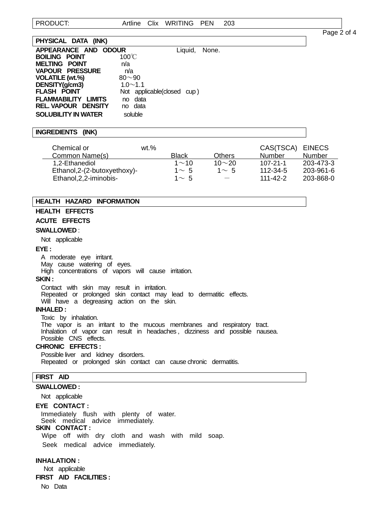Page 2 of 4

| PHYSICAL DATA (INK)        |                            |               |  |
|----------------------------|----------------------------|---------------|--|
| APPEARANCE AND ODOUR       |                            | Liquid, None. |  |
| <b>BOILING POINT</b>       | $100^{\circ}$ C            |               |  |
| <b>MELTING POINT</b>       | n/a                        |               |  |
| <b>VAPOUR PRESSURE</b>     | n/a                        |               |  |
| <b>VOLATILE (wt.%)</b>     | $80 - 90$                  |               |  |
| DENSITY(g/cm3)             | $1.0 \sim 1.1$             |               |  |
| <b>FLASH POINT</b>         | Not applicable(closed cup) |               |  |
| <b>FLAMMABILITY LIMITS</b> | data<br>no                 |               |  |
| <b>REL VAPOUR DENSITY</b>  | no data                    |               |  |
| <b>SOLUBILITY IN WATER</b> | soluble                    |               |  |

### **INGREDIENTS (INK)**

| Chemical or<br>Common Name(s) | $wt. \%$ | <b>Black</b> | Others       | CAS(TSCA)<br>Number | <b>EINECS</b><br>Number |
|-------------------------------|----------|--------------|--------------|---------------------|-------------------------|
| 1,2-Ethanediol                |          | $1 \sim 10$  | 10 $\sim$ 20 | $107 - 21 - 1$      | 203-473-3               |
| Ethanol, 2-(2-butoxyethoxy)-  |          | $1 \sim 5$   | $1 \sim 5$   | 112-34-5            | 203-961-6               |
| Ethanol, 2, 2-iminobis-       |          | $1 \sim 5$   |              | $111 - 42 - 2$      | 203-868-0               |

# **HEALTH HAZARD INFORMATION**

# **HEALTH EFFECTS**

**ACUTE EFFECTS** 

### **SWALLOWED** :

Not applicable

#### **EYE :**

I

A moderate eye irritant.

May cause watering of eyes.

High concentrations of vapors will cause irritation.

# **SKIN :**

 Contact with skin may result in irritation. Repeated or prolonged skin contact may lead to dermatitic effects. Will have a degreasing action on the skin.

### **INHALED :**

 Toxic by inhalation. The vapor is an irritant to the mucous membranes and respiratory tract. Inhalation of vapor can result in headaches , dizziness and possible nausea. Possible CNS effects.

# **CHRONIC EFFECTS :**

 Possible liver and kidney disorders. Repeated or prolonged skin contact can cause chronic dermatitis.

# **FIRST AID**

### **SWALLOWED :**

Not applicable

### **EYE CONTACT :**

Immediately flush with plenty of water.

Seek medical advice immediately.

# **SKIN CONTACT :**

Wipe off with dry cloth and wash with mild soap. Seek medical advice immediately.

### **INHALATION :**

 Not applicable **FIRST AID FACILITIES :** 

No Data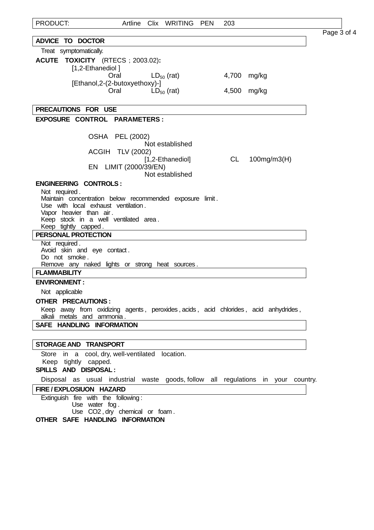| PRODUCT:                                                                                                          | Artline | Clix WRITING     | PEN | 203       |                    |             |
|-------------------------------------------------------------------------------------------------------------------|---------|------------------|-----|-----------|--------------------|-------------|
|                                                                                                                   |         |                  |     |           |                    | Page 3 of 4 |
| <b>ADVICE TO DOCTOR</b><br>Treat symptomatically.                                                                 |         |                  |     |           |                    |             |
| ACUTE TOXICITY (RTECS ; 2003.02):                                                                                 |         |                  |     |           |                    |             |
| [1,2-Ethanediol]                                                                                                  |         |                  |     |           |                    |             |
| Oral                                                                                                              |         | $LD_{50}$ (rat)  |     | 4,700     | mg/kg              |             |
| [Ethanol, 2-(2-butoxyethoxy)-]<br>Oral                                                                            |         | $LD_{50}$ (rat)  |     | 4,500     | mg/kg              |             |
|                                                                                                                   |         |                  |     |           |                    |             |
| PRECAUTIONS FOR USE                                                                                               |         |                  |     |           |                    |             |
| EXPOSURE CONTROL PARAMETERS:                                                                                      |         |                  |     |           |                    |             |
| <b>OSHA PEL (2002)</b>                                                                                            |         |                  |     |           |                    |             |
|                                                                                                                   |         | Not established  |     |           |                    |             |
| ACGIH TLV (2002)                                                                                                  |         |                  |     |           |                    |             |
| EN LIMIT (2000/39/EN)                                                                                             |         | [1,2-Ethanediol] |     | <b>CL</b> | $100$ mg/m $3$ (H) |             |
|                                                                                                                   |         | Not established  |     |           |                    |             |
| <b>ENGINEERING CONTROLS:</b>                                                                                      |         |                  |     |           |                    |             |
| Not required.<br>Maintain concentration below recommended exposure limit.                                         |         |                  |     |           |                    |             |
| Use with local exhaust ventilation.                                                                               |         |                  |     |           |                    |             |
| Vapor heavier than air.                                                                                           |         |                  |     |           |                    |             |
| Keep stock in a well ventilated area.<br>Keep tightly capped.                                                     |         |                  |     |           |                    |             |
| PERSONAL PROTECTION                                                                                               |         |                  |     |           |                    |             |
| Not required.                                                                                                     |         |                  |     |           |                    |             |
| Avoid skin and eye contact.<br>Do not smoke.                                                                      |         |                  |     |           |                    |             |
| Remove any naked lights or strong heat sources.                                                                   |         |                  |     |           |                    |             |
| <b>FLAMMABILITY</b>                                                                                               |         |                  |     |           |                    |             |
| <b>ENVIRONMENT:</b>                                                                                               |         |                  |     |           |                    |             |
| Not applicable                                                                                                    |         |                  |     |           |                    |             |
| <b>OTHER PRECAUTIONS:</b>                                                                                         |         |                  |     |           |                    |             |
| Keep away from oxidizing agents, peroxides, acids, acid chlorides, acid anhydrides,<br>alkali metals and ammonia. |         |                  |     |           |                    |             |
| SAFE HANDLING INFORMATION                                                                                         |         |                  |     |           |                    |             |
|                                                                                                                   |         |                  |     |           |                    |             |
| <b>STORAGE AND TRANSPORT</b>                                                                                      |         |                  |     |           |                    |             |
| Store in a cool, dry, well-ventilated location.                                                                   |         |                  |     |           |                    |             |
| Keep tightly capped.                                                                                              |         |                  |     |           |                    |             |
| SPILLS AND DISPOSAL:                                                                                              |         |                  |     |           |                    |             |
| Disposal as usual industrial waste goods, follow all regulations in your country.                                 |         |                  |     |           |                    |             |
| FIRE / EXPLOSIUON HAZARD<br>Extinguish fire with the following:                                                   |         |                  |     |           |                    |             |
| Use water fog.                                                                                                    |         |                  |     |           |                    |             |
| Use CO2, dry chemical or foam.                                                                                    |         |                  |     |           |                    |             |
| OTHER SAFE HANDLING INFORMATION                                                                                   |         |                  |     |           |                    |             |
|                                                                                                                   |         |                  |     |           |                    |             |
|                                                                                                                   |         |                  |     |           |                    |             |